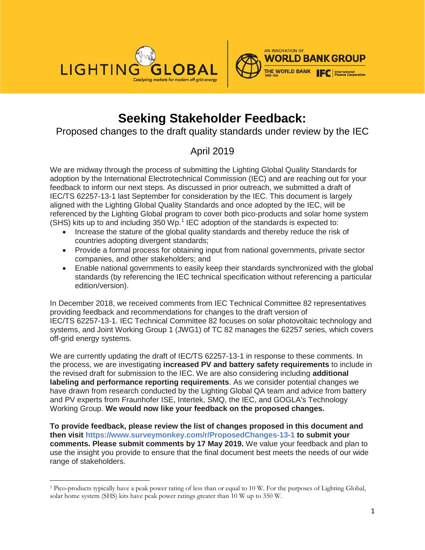



# **Seeking Stakeholder Feedback:**

Proposed changes to the draft quality standards under review by the IEC

# April 2019

We are midway through the process of submitting the Lighting Global Quality Standards for adoption by the International Electrotechnical Commission (IEC) and are reaching out for your feedback to inform our next steps. As discussed in prior outreach, we submitted a draft of IEC/TS 62257-13-1 last September for consideration by the IEC. This document is largely aligned with the Lighting Global Quality Standards and once adopted by the IEC, will be referenced by the Lighting Global program to cover both pico-products and solar home system (SHS) kits up to and including 350 Wp.<sup>[1](#page-0-0)</sup> IEC adoption of the standards is expected to:

- Increase the stature of the global quality standards and thereby reduce the risk of countries adopting divergent standards;
- Provide a formal process for obtaining input from national governments, private sector companies, and other stakeholders; and
- Enable national governments to easily keep their standards synchronized with the global standards (by referencing the IEC technical specification without referencing a particular edition/version).

In December 2018, we received comments from IEC Technical Committee 82 representatives providing feedback and recommendations for changes to the draft version of IEC/TS 62257-13-1. IEC Technical Committee 82 focuses on solar photovoltaic technology and systems, and Joint Working Group 1 (JWG1) of TC 82 manages the 62257 series, which covers off-grid energy systems.

We are currently updating the draft of IEC/TS 62257-13-1 in response to these comments. In the process, we are investigating **increased PV and battery safety requirements** to include in the revised draft for submission to the IEC. We are also considering including **additional labeling and performance reporting requirements**. As we consider potential changes we have drawn from research conducted by the Lighting Global QA team and advice from battery and PV experts from Fraunhofer ISE, Intertek, SMQ, the IEC, and GOGLA's Technology Working Group. **We would now like your feedback on the proposed changes.**

**To provide feedback, please review the list of changes proposed in this document and then visit https://www.surveymonkey.com/r/ProposedChanges-13-1 to submit your comments. Please submit comments by 17 May 2019.** We value your feedback and plan to use the insight you provide to ensure that the final document best meets the needs of our wide range of stakeholders.

 $\overline{\phantom{a}}$ 

<span id="page-0-0"></span><sup>1</sup> Pico-products typically have a peak power rating of less than or equal to 10 W. For the purposes of Lighting Global, solar home system (SHS) kits have peak power ratings greater than 10 W up to 350 W.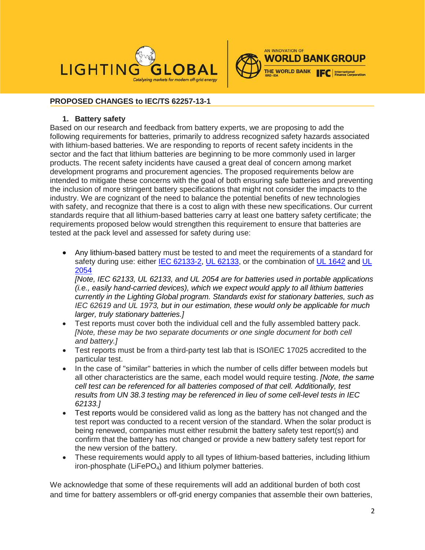



# **PROPOSED CHANGES to IEC/TS 62257-13-1**

#### **1. Battery safety**

Based on our research and feedback from battery experts, we are proposing to add the following requirements for batteries, primarily to address recognized safety hazards associated with lithium-based batteries. We are responding to reports of recent safety incidents in the sector and the fact that lithium batteries are beginning to be more commonly used in larger products. The recent safety incidents have caused a great deal of concern among market development programs and procurement agencies. The proposed requirements below are intended to mitigate these concerns with the goal of both ensuring safe batteries and preventing the inclusion of more stringent battery specifications that might not consider the impacts to the industry. We are cognizant of the need to balance the potential benefits of new technologies with safety, and recognize that there is a cost to align with these new specifications. Our current standards require that all lithium-based batteries carry at least one battery safety certificate; the requirements proposed below would strengthen this requirement to ensure that batteries are tested at the pack level and assessed for safety during use:

• Any lithium-based battery must be tested to and meet the requirements of a standard for safety during use: either IEC [62133-2,](https://webstore.iec.ch/publication/32662) [UL 62133,](https://standardscatalog.ul.com/standards/en/standard_62133_2) or the combination of [UL 1642](https://standardscatalog.ul.com/standards/en/standard_1642_5) and [UL](https://standardscatalog.ul.com/standards/en/standard_2054_2)  [2054](https://standardscatalog.ul.com/standards/en/standard_2054_2)

*[Note, IEC 62133, UL 62133, and UL 2054 are for batteries used in portable applications (i.e., easily hand-carried devices), which we expect would apply to all lithium batteries currently in the Lighting Global program. Standards exist for stationary batteries, such as IEC 62619 and UL 1973, but in our estimation, these would only be applicable for much larger, truly stationary batteries.]*

- Test reports must cover both the individual cell and the fully assembled battery pack. *[Note, these may be two separate documents or one single document for both cell and battery.]*
- Test reports must be from a third-party test lab that is ISO/IEC 17025 accredited to the particular test.
- In the case of "similar" batteries in which the number of cells differ between models but all other characteristics are the same, each model would require testing. *[Note, the same cell test can be referenced for all batteries composed of that cell. Additionally, test results from UN 38.3 testing may be referenced in lieu of some cell-level tests in IEC 62133.]*
- Test reports would be considered valid as long as the battery has not changed and the test report was conducted to a recent version of the standard. When the solar product is being renewed, companies must either resubmit the battery safety test report(s) and confirm that the battery has not changed or provide a new battery safety test report for the new version of the battery.
- These requirements would apply to all types of lithium-based batteries, including lithium iron-phosphate (LiFePO<sub>4</sub>) and lithium polymer batteries.

We acknowledge that some of these requirements will add an additional burden of both cost and time for battery assemblers or off-grid energy companies that assemble their own batteries,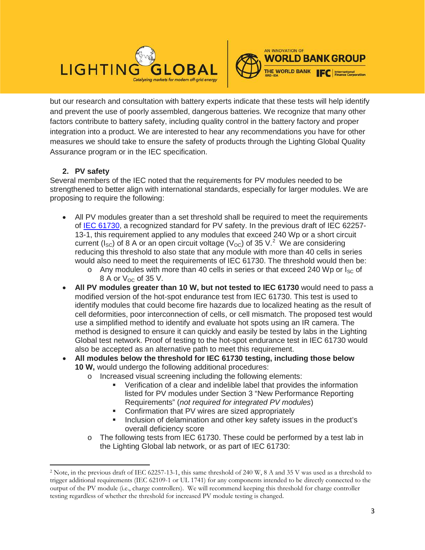



but our research and consultation with battery experts indicate that these tests will help identify and prevent the use of poorly assembled, dangerous batteries. We recognize that many other factors contribute to battery safety, including quality control in the battery factory and proper integration into a product. We are interested to hear any recommendations you have for other measures we should take to ensure the safety of products through the Lighting Global Quality Assurance program or in the IEC specification.

# **2. PV safety**

 $\overline{\phantom{a}}$ 

Several members of the IEC noted that the requirements for PV modules needed to be strengthened to better align with international standards, especially for larger modules. We are proposing to require the following:

- All PV modules greater than a set threshold shall be required to meet the requirements of [IEC 61730,](https://webstore.iec.ch/publication/25674) a recognized standard for PV safety. In the previous draft of IEC 62257- 13-1, this requirement applied to any modules that exceed 240 Wp or a short circuit current ( $I_{SC}$ ) of 8 A or an open circuit voltage ( $V_{OC}$ ) of 35 V.<sup>[2](#page-2-0)</sup> We are considering reducing this threshold to also state that any module with more than 40 cells in series would also need to meet the requirements of IEC 61730. The threshold would then be:
	- $\circ$  Any modules with more than 40 cells in series or that exceed 240 Wp or  $I_{SC}$  of 8 A or  $V_{OC}$  of 35 V.
- **All PV modules greater than 10 W, but not tested to IEC 61730** would need to pass a modified version of the hot-spot endurance test from IEC 61730. This test is used to identify modules that could become fire hazards due to localized heating as the result of cell deformities, poor interconnection of cells, or cell mismatch. The proposed test would use a simplified method to identify and evaluate hot spots using an IR camera. The method is designed to ensure it can quickly and easily be tested by labs in the Lighting Global test network. Proof of testing to the hot-spot endurance test in IEC 61730 would also be accepted as an alternative path to meet this requirement.
- **All modules below the threshold for IEC 61730 testing, including those below 10 W,** would undergo the following additional procedures:
	- o Increased visual screening including the following elements:
		- Verification of a clear and indelible label that provides the information listed for PV modules under Section 3 "New Performance Reporting Requirements" (*not required for integrated PV modules*)
		- Confirmation that PV wires are sized appropriately
		- Inclusion of delamination and other key safety issues in the product's overall deficiency score
	- o The following tests from IEC 61730. These could be performed by a test lab in the Lighting Global lab network, or as part of IEC 61730:

<span id="page-2-0"></span><sup>2</sup> Note, in the previous draft of IEC 62257-13-1, this same threshold of 240 W, 8 A and 35 V was used as a threshold to trigger additional requirements (IEC 62109-1 or UL 1741) for any components intended to be directly connected to the output of the PV module (i.e., charge controllers). We will recommend keeping this threshold for charge controller testing regardless of whether the threshold for increased PV module testing is changed.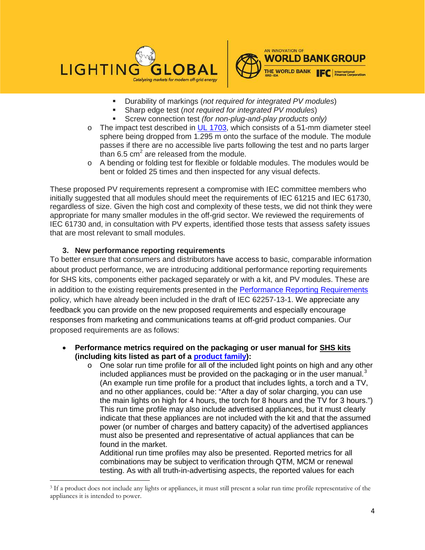



- Durability of markings (*not required for integrated PV modules*)
- Sharp edge test (*not required for integrated PV modules*)
- Screw connection test *(for non-plug-and-play products only)*
- $\circ$  The impact test described in [UL 1703,](https://standardscatalog.ul.com/standards/en/standard_1703) which consists of a 51-mm diameter steel sphere being dropped from 1.295 m onto the surface of the module. The module passes if there are no accessible live parts following the test and no parts larger than  $6.5 \text{ cm}^2$  are released from the module.
- $\circ$  A bending or folding test for flexible or foldable modules. The modules would be bent or folded 25 times and then inspected for any visual defects.

These proposed PV requirements represent a compromise with IEC committee members who initially suggested that all modules should meet the requirements of IEC 61215 and IEC 61730, regardless of size. Given the high cost and complexity of these tests, we did not think they were appropriate for many smaller modules in the off-grid sector. We reviewed the requirements of IEC 61730 and, in consultation with PV experts, identified those tests that assess safety issues that are most relevant to small modules.

## **3. New performance reporting requirements**

 $\overline{\phantom{a}}$ 

To better ensure that consumers and distributors have access to basic, comparable information about product performance, we are introducing additional performance reporting requirements for SHS kits, components either packaged separately or with a kit, and PV modules. These are in addition to the existing requirements presented in the [Performance Reporting Requirements](https://www.lightingglobal.org/resource/performance-reporting-requirements/) policy, which have already been included in the draft of IEC 62257-13-1. We appreciate any feedback you can provide on the new proposed requirements and especially encourage responses from marketing and communications teams at off-grid product companies. Our proposed requirements are as follows:

- **Performance metrics required on the packaging or user manual for SHS kits (including kits listed as part of a [product family\)](https://www.lightingglobal.org/resource/framework-for-testing-product-component-families/):**
	- $\circ$  One solar run time profile for all of the included light points on high and any other included appliances must be provided on the packaging or in the user manual. $3$ (An example run time profile for a product that includes lights, a torch and a TV, and no other appliances, could be: "After a day of solar charging, you can use the main lights on high for 4 hours, the torch for 8 hours and the TV for 3 hours.") This run time profile may also include advertised appliances, but it must clearly indicate that these appliances are not included with the kit and that the assumed power (or number of charges and battery capacity) of the advertised appliances must also be presented and representative of actual appliances that can be found in the market.

Additional run time profiles may also be presented. Reported metrics for all combinations may be subject to verification through QTM, MCM or renewal testing. As with all truth-in-advertising aspects, the reported values for each

<span id="page-3-0"></span><sup>3</sup> If a product does not include any lights or appliances, it must still present a solar run time profile representative of the appliances it is intended to power.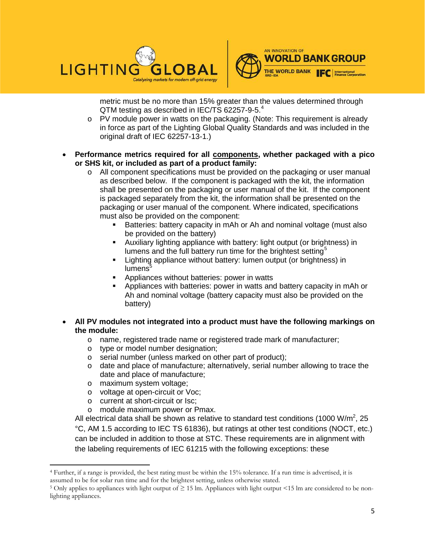



metric must be no more than 15% greater than the values determined through QTM testing as described in IEC/TS 62257-9-5.<sup>[4](#page-4-0)</sup>

- o PV module power in watts on the packaging. (Note: This requirement is already in force as part of the Lighting Global Quality Standards and was included in the original draft of IEC 62257-13-1.)
- **Performance metrics required for all components, whether packaged with a pico or SHS kit, or included as part of a product family:**
	- o All component specifications must be provided on the packaging or user manual as described below. If the component is packaged with the kit, the information shall be presented on the packaging or user manual of the kit. If the component is packaged separately from the kit, the information shall be presented on the packaging or user manual of the component. Where indicated, specifications must also be provided on the component:
		- Batteries: battery capacity in mAh or Ah and nominal voltage (must also be provided on the battery)
		- Auxiliary lighting appliance with battery: light output (or brightness) in lumens and the full battery run time for the brightest setting<sup>[5](#page-4-1)</sup>
		- **Example 1** Lighting appliance without battery: lumen output (or brightness) in  $l$ umens $5$
		- Appliances without batteries: power in watts
		- Appliances with batteries: power in watts and battery capacity in mAh or Ah and nominal voltage (battery capacity must also be provided on the battery)
- **All PV modules not integrated into a product must have the following markings on the module:**
	- o name, registered trade name or registered trade mark of manufacturer;<br>o type or model number designation;
	- type or model number designation;
	- o serial number (unless marked on other part of product);
	- o date and place of manufacture; alternatively, serial number allowing to trace the date and place of manufacture;
	- o maximum system voltage;<br>o voltage at open-circuit or V

 $\overline{\phantom{a}}$ 

- voltage at open-circuit or Voc;
- o current at short-circuit or Isc;
- o module maximum power or Pmax.

All electrical data shall be shown as relative to standard test conditions (1000 W/m<sup>2</sup>, 25 °C, AM 1.5 according to IEC TS 61836), but ratings at other test conditions (NOCT, etc.) can be included in addition to those at STC. These requirements are in alignment with the labeling requirements of IEC 61215 with the following exceptions: these

<span id="page-4-0"></span><sup>4</sup> Further, if a range is provided, the best rating must be within the 15% tolerance. If a run time is advertised, it is assumed to be for solar run time and for the brightest setting, unless otherwise stated.

<span id="page-4-1"></span><sup>&</sup>lt;sup>5</sup> Only applies to appliances with light output of  $\geq$  15 lm. Appliances with light output <15 lm are considered to be nonlighting appliances.